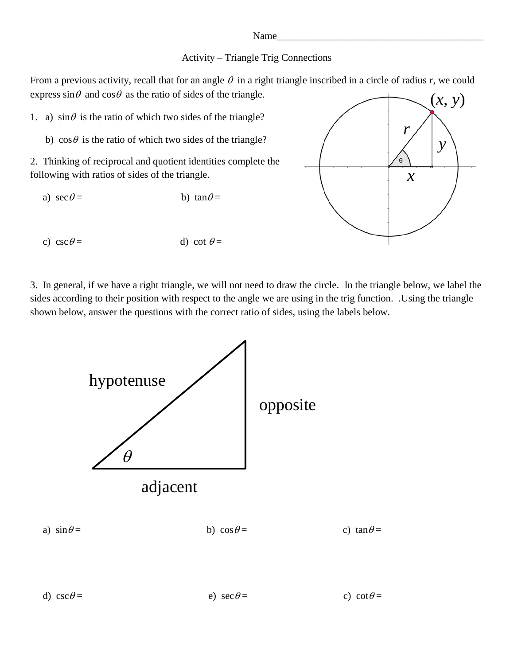## Name\_

## Activity – Triangle Trig Connections

From a previous activity, recall that for an angle  $\theta$  in a right triangle inscribed in a circle of radius r, we could express  $\sin \theta$  and  $\cos \theta$  as the ratio of sides of the triangle.

1. a)  $\sin\theta$  is the ratio of which two sides of the triangle?

b)  $\cos \theta$  is the ratio of which two sides of the triangle?

2. Thinking of reciprocal and quotient identities complete the following with ratios of sides of the triangle.

- a)  $\sec \theta =$  b)  $\tan \theta =$
- c)  $\csc \theta =$  d)  $\cot \theta =$

3. In general, if we have a right triangle, we will not need to draw the circle. In the triangle below, we label the sides according to their position with respect to the angle we are using in the trig function. .Using the triangle shown below, answer the questions with the correct ratio of sides, using the labels below.